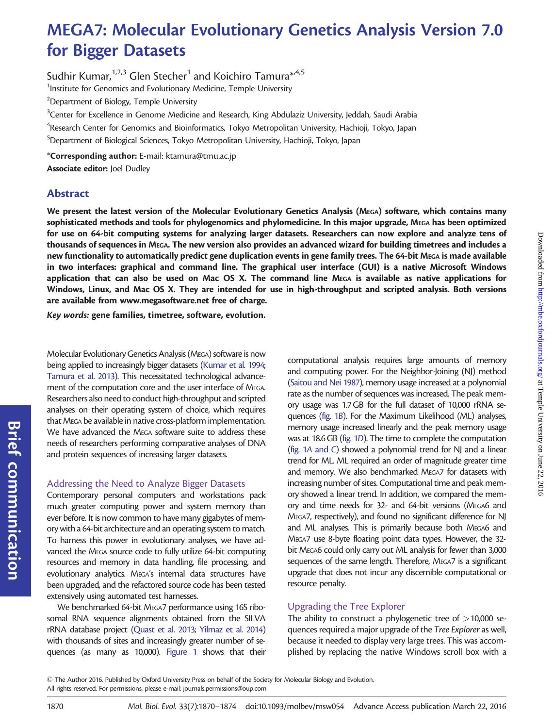# MEGA7: Molecular Evolutionary Genetics Analysis Version 7.0 for Bigger Datasets

Sudhir Kumar,  $1,2,3$  Glen Stecher<sup>1</sup> and Koichiro Tamura<sup>\*,4,5</sup> <sup>1</sup>Institute for Genomics and Evolutionary Medicine, Temple University <sup>2</sup>Department of Biology, Temple University  $^3$ Center for Excellence in Genome Medicine and Research, King Abdulaziz University, Jeddah, Saudi Arabia  $\mathrm{^4}$ Research Center for Genomics and Bioinformatics, Tokyo Metropolitan University, Hachioji, Tokyo, Japan 5 Department of Biological Sciences, Tokyo Metropolitan University, Hachioji, Tokyo, Japan \*Corresponding author: E-mail: ktamura@tmu.ac.jp Associate editor: Joel Dudley

## Abstract

We present the latest version of the Molecular Evolutionary Genetics Analysis (MEGA) software, which contains many sophisticated methods and tools for phylogenomics and phylomedicine. In this major upgrade, MEGA has been optimized for use on 64-bit computing systems for analyzing larger datasets. Researchers can now explore and analyze tens of thousands of sequences in MEGA. The new version also provides an advanced wizard for building timetrees and includes a new functionality to automatically predict gene duplication events in gene family trees. The 64-bit MEGA is made available in two interfaces: graphical and command line. The graphical user interface (GUI) is a native Microsoft Windows application that can also be used on Mac OS X. The command line MEGA is available as native applications for Windows, Linux, and Mac OS X. They are intended for use in high-throughput and scripted analysis. Both versions are available from [www.megasoftware.net](http://www.megasoftware.net) free of charge.

Key words: gene families, timetree, software, evolution.

Molecular Evolutionary Genetics Analysis (MEGA) software is now being applied to increasingly bigger datasets [\(Kumar et al. 1994;](#page-3-0) [Tamura et al. 2013](#page-4-0)). This necessitated technological advancement of the computation core and the user interface of MEGA. Researchers also need to conduct high-throughput and scripted analyses on their operating system of choice, which requires that MEGA be available in native cross-platform implementation. We have advanced the MEGA software suite to address these needs of researchers performing comparative analyses of DNA and protein sequences of increasing larger datasets.

## Addressing the Need to Analyze Bigger Datasets

Contemporary personal computers and workstations pack much greater computing power and system memory than ever before. It is now common to have many gigabytes of memory with a 64-bit architecture and an operating system to match. To harness this power in evolutionary analyses, we have advanced the MEGA source code to fully utilize 64-bit computing resources and memory in data handling, file processing, and evolutionary analytics. MEGA's internal data structures have been upgraded, and the refactored source code has been tested extensively using automated test harnesses.

We benchmarked 64-bit MEGA7 performance using 16S ribosomal RNA sequence alignments obtained from the SILVA rRNA database project [\(Quast et al. 2013](#page-3-0); [Yilmaz et al. 2014](#page-4-0)) with thousands of sites and increasingly greater number of sequences (as many as 10,000). [Figure 1](#page-1-0) shows that their

computational analysis requires large amounts of memory and computing power. For the Neighbor-Joining (NJ) method [\(Saitou and Nei 1987](#page-3-0)), memory usage increased at a polynomial rate as the number of sequences was increased. The peak memory usage was 1.7 GB for the full dataset of 10,000 rRNA sequences [\(fig. 1](#page-1-0)B). For the Maximum Likelihood (ML) analyses, memory usage increased linearly and the peak memory usage was at 18.6 GB [\(fig. 1](#page-1-0)D). The time to complete the computation [\(fig. 1](#page-1-0)A and C) showed a polynomial trend for NJ and a linear trend for ML. ML required an order of magnitude greater time and memory. We also benchmarked MEGA7 for datasets with increasing number of sites. Computational time and peak memory showed a linear trend. In addition, we compared the memory and time needs for 32- and 64-bit versions (MEGA6 and MEGA7, respectively), and found no significant difference for NJ and ML analyses. This is primarily because both MEGA6 and MEGA7 use 8-byte floating point data types. However, the 32 bit MEGA6 could only carry out ML analysis for fewer than 3,000 sequences of the same length. Therefore, MEGA7 is a significant upgrade that does not incur any discernible computational or resource penalty.

## Upgrading the Tree Explorer

The ability to construct a phylogenetic tree of  $>$ 10,000 sequences required a major upgrade of the Tree Explorer as well, because it needed to display very large trees. This was accomplished by replacing the native Windows scroll box with a

Brief

communication

 $\odot$  The Author 2016. Published by Oxford University Press on behalf of the Society for Molecular Biology and Evolution. All rights reserved. For permissions, please e-mail: journals.permissions@oup.com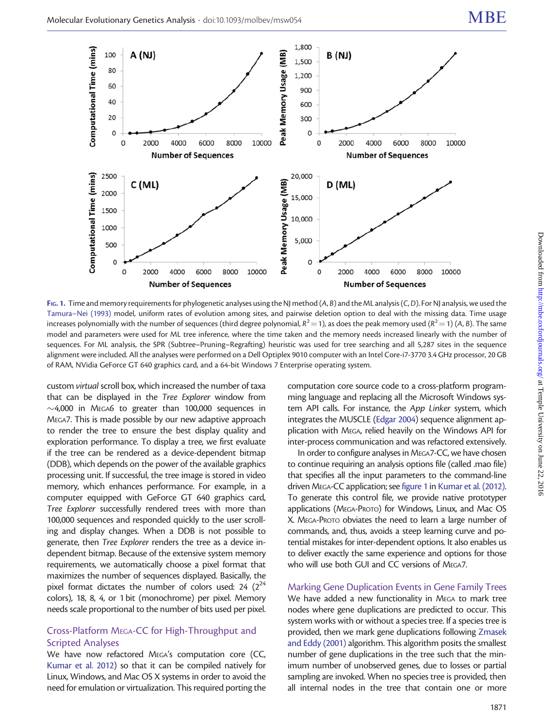<span id="page-1-0"></span>

FIG. 1. Time and memory requirements for phylogenetic analyses using the NJ method (A, B) and the ML analysis (C, D). For NJ analysis, we used the [Tamura–Nei \(1993\)](#page-3-0) model, uniform rates of evolution among sites, and pairwise deletion option to deal with the missing data. Time usage increases polynomially with the number of sequences (third degree polynomial,  $R^2$   $=$  1), as does the peak memory used ( $R^2$   $=$  1) (A, B). The same model and parameters were used for ML tree inference, where the time taken and the memory needs increased linearly with the number of sequences. For ML analysis, the SPR (Subtree–Pruning–Regrafting) heuristic was used for tree searching and all 5,287 sites in the sequence alignment were included. All the analyses were performed on a Dell Optiplex 9010 computer with an Intel Core-i7-3770 3.4 GHz processor, 20 GB of RAM, NVidia GeForce GT 640 graphics card, and a 64-bit Windows 7 Enterprise operating system.

custom virtual scroll box, which increased the number of taxa that can be displayed in the Tree Explorer window from  $\sim$  4,000 in MEGA6 to greater than 100,000 sequences in MEGA7. This is made possible by our new adaptive approach to render the tree to ensure the best display quality and exploration performance. To display a tree, we first evaluate if the tree can be rendered as a device-dependent bitmap (DDB), which depends on the power of the available graphics processing unit. If successful, the tree image is stored in video memory, which enhances performance. For example, in a computer equipped with GeForce GT 640 graphics card, Tree Explorer successfully rendered trees with more than 100,000 sequences and responded quickly to the user scrolling and display changes. When a DDB is not possible to generate, then Tree Explorer renders the tree as a device independent bitmap. Because of the extensive system memory requirements, we automatically choose a pixel format that maximizes the number of sequences displayed. Basically, the pixel format dictates the number of colors used:  $24$  ( $2^{24}$ ) colors), 18, 8, 4, or 1 bit (monochrome) per pixel. Memory needs scale proportional to the number of bits used per pixel.

## Cross-Platform MEGA-CC for High-Throughput and Scripted Analyses

We have now refactored MEGA's computation core (CC, [Kumar et al. 2012](#page-3-0)) so that it can be compiled natively for Linux, Windows, and Mac OS X systems in order to avoid the need for emulation or virtualization. This required porting the computation core source code to a cross-platform programming language and replacing all the Microsoft Windows system API calls. For instance, the App Linker system, which integrates the MUSCLE [\(Edgar 2004\)](#page-3-0) sequence alignment application with MEGA, relied heavily on the Windows API for inter-process communication and was refactored extensively.

In order to configure analyses in MEGA7-CC, we have chosen to continue requiring an analysis options file (called .mao file) that specifies all the input parameters to the command-line driven MEGA-CC application; see figure 1 in [Kumar et al. \(2012\).](#page-3-0) To generate this control file, we provide native prototyper applications (MEGA-PROTO) for Windows, Linux, and Mac OS X. MEGA-PROTO obviates the need to learn a large number of commands, and, thus, avoids a steep learning curve and potential mistakes for inter-dependent options. It also enables us to deliver exactly the same experience and options for those who will use both GUI and CC versions of MEGA7.

Marking Gene Duplication Events in Gene Family Trees We have added a new functionality in MEGA to mark tree nodes where gene duplications are predicted to occur. This system works with or without a species tree. If a species tree is provided, then we mark gene duplications following [Zmasek](#page-4-0) [and Eddy \(2001\)](#page-4-0) algorithm. This algorithm posits the smallest number of gene duplications in the tree such that the minimum number of unobserved genes, due to losses or partial sampling are invoked. When no species tree is provided, then all internal nodes in the tree that contain one or more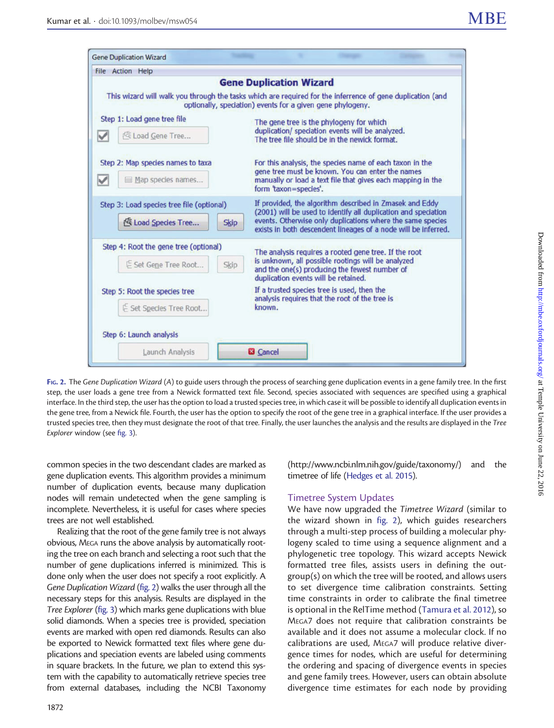<span id="page-2-0"></span>

| File Action Help                          |                                                                                                                                                                                                      |
|-------------------------------------------|------------------------------------------------------------------------------------------------------------------------------------------------------------------------------------------------------|
|                                           | <b>Gene Duplication Wizard</b>                                                                                                                                                                       |
|                                           | This wizard will walk you through the tasks which are required for the inferrence of gene duplication (and<br>optionally, speciation) events for a given gene phylogeny.                             |
| Step 1: Load gene tree file               | The gene tree is the phylogeny for which<br>duplication/ speciation events will be analyzed.<br>The tree file should be in the newick format.                                                        |
| c Load Gene Tree<br>v                     |                                                                                                                                                                                                      |
| Step 2: Map species names to taxa         | For this analysis, the species name of each taxon in the<br>gene tree must be known. You can enter the names<br>manually or load a text file that gives each mapping in the<br>form 'taxon=species'. |
| Map species names<br>V                    |                                                                                                                                                                                                      |
| Step 3: Load species tree file (optional) | If provided, the algorithm described in Zmasek and Eddy<br>(2001) will be used to identify all duplication and speciation                                                                            |
| load Species Tree<br><b>Skip</b>          | events. Otherwise only duplications where the same species<br>exists in both descendent lineages of a node will be inferred.                                                                         |
| Step 4: Root the gene tree (optional)     | The analysis requires a rooted gene tree. If the root                                                                                                                                                |
| E Set Gene Tree Root<br>Skip              | is unknown, all possible rootings will be analyzed<br>and the one(s) producing the fewest number of<br>duplication events will be retained.                                                          |
| Step 5: Root the species tree             | If a trusted species tree is used, then the                                                                                                                                                          |
| E Set Species Tree Root                   | analysis requires that the root of the tree is<br>known.                                                                                                                                             |
| Step 6: Launch analysis                   |                                                                                                                                                                                                      |
|                                           |                                                                                                                                                                                                      |

FIG. 2. The Gene Duplication Wizard (A) to guide users through the process of searching gene duplication events in a gene family tree. In the first step, the user loads a gene tree from a Newick formatted text file. Second, species associated with sequences are specified using a graphical interface. In the third step, the user has the option to load a trusted species tree, in which case it will be possible to identify all duplication events in the gene tree, from a Newick file. Fourth, the user has the option to specify the root of the gene tree in a graphical interface. If the user provides a trusted species tree, then they must designate the root of that tree. Finally, the user launches the analysis and the results are displayed in the Tree Explorer window (see [fig. 3\)](#page-3-0).

common species in the two descendant clades are marked as gene duplication events. This algorithm provides a minimum number of duplication events, because many duplication nodes will remain undetected when the gene sampling is incomplete. Nevertheless, it is useful for cases where species trees are not well established.

Realizing that the root of the gene family tree is not always obvious, MEGA runs the above analysis by automatically rooting the tree on each branch and selecting a root such that the number of gene duplications inferred is minimized. This is done only when the user does not specify a root explicitly. A Gene Duplication Wizard (fig. 2) walks the user through all the necessary steps for this analysis. Results are displayed in the Tree Explorer [\(fig. 3\)](#page-3-0) which marks gene duplications with blue solid diamonds. When a species tree is provided, speciation events are marked with open red diamonds. Results can also be exported to Newick formatted text files where gene duplications and speciation events are labeled using comments in square brackets. In the future, we plan to extend this system with the capability to automatically retrieve species tree from external databases, including the NCBI Taxonomy [\(http://www.ncbi.nlm.nih.gov/guide/taxonomy/\)](http://www.ncbi.nlm.nih.gov/guide/taxonomy/) and the timetree of life ([Hedges et al. 2015](#page-3-0)).

#### Timetree System Updates

We have now upgraded the Timetree Wizard (similar to the wizard shown in fig. 2), which guides researchers through a multi-step process of building a molecular phylogeny scaled to time using a sequence alignment and a phylogenetic tree topology. This wizard accepts Newick formatted tree files, assists users in defining the outgroup(s) on which the tree will be rooted, and allows users to set divergence time calibration constraints. Setting time constraints in order to calibrate the final timetree is optional in the RelTime method [\(Tamura et al. 2012](#page-3-0)), so MEGA7 does not require that calibration constraints be available and it does not assume a molecular clock. If no calibrations are used, MEGA7 will produce relative divergence times for nodes, which are useful for determining the ordering and spacing of divergence events in species and gene family trees. However, users can obtain absolute divergence time estimates for each node by providing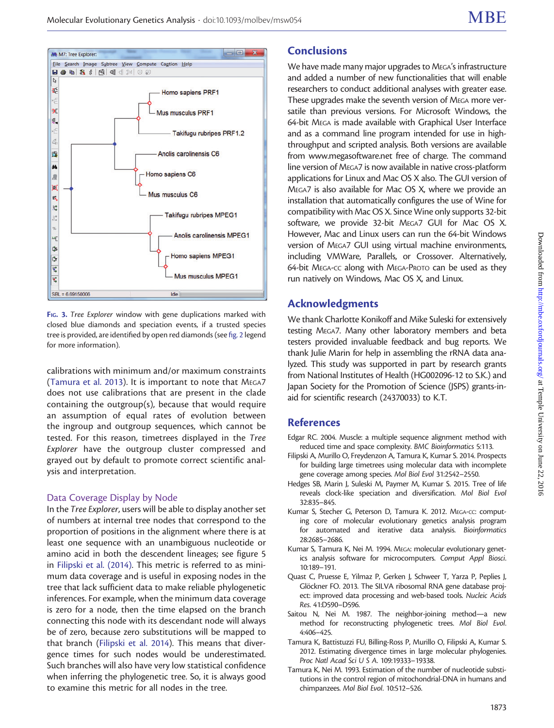<span id="page-3-0"></span>

FIG. 3. Tree Explorer window with gene duplications marked with closed blue diamonds and speciation events, if a trusted species tree is provided, are identified by open red diamonds (see [fig. 2](#page-2-0) legend for more information).

calibrations with minimum and/or maximum constraints ([Tamura et al. 2013](#page-4-0)). It is important to note that MEGA7 does not use calibrations that are present in the clade containing the outgroup(s), because that would require an assumption of equal rates of evolution between the ingroup and outgroup sequences, which cannot be tested. For this reason, timetrees displayed in the Tree Explorer have the outgroup cluster compressed and grayed out by default to promote correct scientific analysis and interpretation.

#### Data Coverage Display by Node

In the Tree Explorer, users will be able to display another set of numbers at internal tree nodes that correspond to the proportion of positions in the alignment where there is at least one sequence with an unambiguous nucleotide or amino acid in both the descendent lineages; see figure 5 in Filipski et al. (2014). This metric is referred to as minimum data coverage and is useful in exposing nodes in the tree that lack sufficient data to make reliable phylogenetic inferences. For example, when the minimum data coverage is zero for a node, then the time elapsed on the branch connecting this node with its descendant node will always be of zero, because zero substitutions will be mapped to that branch (Filipski et al. 2014). This means that divergence times for such nodes would be underestimated. Such branches will also have very low statistical confidence when inferring the phylogenetic tree. So, it is always good to examine this metric for all nodes in the tree.

# **Conclusions**

We have made many major upgrades to MEGA's infrastructure and added a number of new functionalities that will enable researchers to conduct additional analyses with greater ease. These upgrades make the seventh version of MEGA more versatile than previous versions. For Microsoft Windows, the 64-bit MEGA is made available with Graphical User Interface and as a command line program intended for use in highthroughput and scripted analysis. Both versions are available from [www.megasoftware.net](http://www.megasoftware.net) free of charge. The command line version of MEGA7 is now available in native cross-platform applications for Linux and Mac OS X also. The GUI version of MEGA7 is also available for Mac OS X, where we provide an installation that automatically configures the use of Wine for compatibility with Mac OS X. Since Wine only supports 32-bit software, we provide 32-bit MEGA7 GUI for Mac OS X. However, Mac and Linux users can run the 64-bit Windows version of MEGA7 GUI using virtual machine environments, including VMWare, Parallels, or Crossover. Alternatively, 64-bit MEGA-CC along with MEGA-PROTO can be used as they run natively on Windows, Mac OS X, and Linux.

## Acknowledgments

We thank Charlotte Konikoff and Mike Suleski for extensively testing MEGA7. Many other laboratory members and beta testers provided invaluable feedback and bug reports. We thank Julie Marin for help in assembling the rRNA data analyzed. This study was supported in part by research grants from National Institutes of Health (HG002096-12 to S.K.) and Japan Society for the Promotion of Science (JSPS) grants-inaid for scientific research (24370033) to K.T.

## References

- Edgar RC. 2004. Muscle: a multiple sequence alignment method with reduced time and space complexity. BMC Bioinformatics 5:113.
- Filipski A, Murillo O, Freydenzon A, Tamura K, Kumar S. 2014. Prospects for building large timetrees using molecular data with incomplete gene coverage among species. Mol Biol Evol 31:2542–2550.
- Hedges SB, Marin J, Suleski M, Paymer M, Kumar S. 2015. Tree of life reveals clock-like speciation and diversification. Mol Biol Evol 32:835–845.
- Kumar S, Stecher G, Peterson D, Tamura K. 2012. MEGA-CC: computing core of molecular evolutionary genetics analysis program for automated and iterative data analysis. Bioinformatics 28:2685–2686.
- Kumar S, Tamura K, Nei M. 1994. MEGA: molecular evolutionary genetics analysis software for microcomputers. Comput Appl Biosci. 10:189–191.
- Quast C, Pruesse E, Yilmaz P, Gerken J, Schweer T, Yarza P, Peplies J, Glöckner FO. 2013. The SILVA ribosomal RNA gene database project: improved data processing and web-based tools. Nucleic Acids Res. 41:D590–D596.
- Saitou N, Nei M. 1987. The neighbor-joining method—a new method for reconstructing phylogenetic trees. Mol Biol Evol. 4:406–425.
- Tamura K, Battistuzzi FU, Billing-Ross P, Murillo O, Filipski A, Kumar S. 2012. Estimating divergence times in large molecular phylogenies. Proc Natl Acad Sci U S A. 109:19333–19338.
- Tamura K, Nei M. 1993. Estimation of the number of nucleotide substitutions in the control region of mitochondrial-DNA in humans and chimpanzees. Mol Biol Evol. 10:512–526.